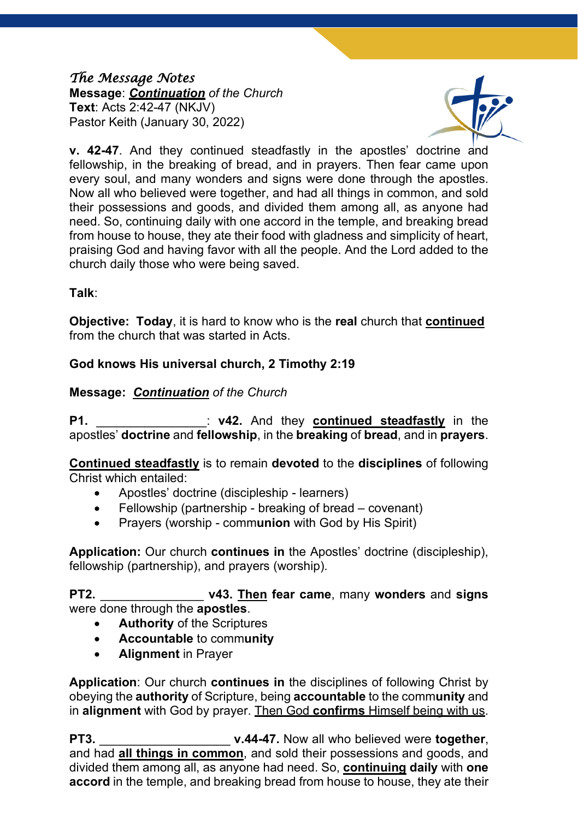#### *The Message Notes*  **Message**: *Continuation of the Church* **Text**: Acts 2:42-47 (NKJV) Pastor Keith (January 30, 2022)



**v. 42-47**. And they continued steadfastly in the apostles' doctrine and fellowship, in the breaking of bread, and in prayers. Then fear came upon every soul, and many wonders and signs were done through the apostles. Now all who believed were together, and had all things in common, and sold their possessions and goods, and divided them among all, as anyone had need. So, continuing daily with one accord in the temple, and breaking bread from house to house, they ate their food with gladness and simplicity of heart, praising God and having favor with all the people. And the Lord added to the church daily those who were being saved.

## **Talk**:

**Objective: Today**, it is hard to know who is the **real** church that **continued** from the church that was started in Acts.

# **God knows His universal church, 2 Timothy 2:19**

# **Message:** *Continuation of the Church*

**P1.** \_\_\_\_\_\_\_\_\_\_\_\_\_\_\_\_: **v42.** And they **continued steadfastly** in the apostles' **doctrine** and **fellowship**, in the **breaking** of **bread**, and in **prayers**.

**Continued steadfastly** is to remain **devoted** to the **disciplines** of following Christ which entailed:

- Apostles' doctrine (discipleship learners)
- Fellowship (partnership breaking of bread covenant)
- Prayers (worship comm**union** with God by His Spirit)

**Application:** Our church **continues in** the Apostles' doctrine (discipleship), fellowship (partnership), and prayers (worship).

**PT2.** \_\_\_\_\_\_\_\_\_\_\_\_\_\_\_ **v43. Then fear came**, many **wonders** and **signs** were done through the **apostles**.

- **Authority** of the Scriptures
- **Accountable** to comm**unity**
- **Alignment** in Prayer

**Application**: Our church **continues in** the disciplines of following Christ by obeying the **authority** of Scripture, being **accountable** to the comm**unity** and in **alignment** with God by prayer. Then God **confirms** Himself being with us.

**PT3.** \_\_\_\_\_\_\_\_\_\_\_\_\_\_\_\_\_\_\_ **v.44-47.** Now all who believed were **together**, and had **all things in common**, and sold their possessions and goods, and divided them among all, as anyone had need. So, **continuing daily** with **one accord** in the temple, and breaking bread from house to house, they ate their